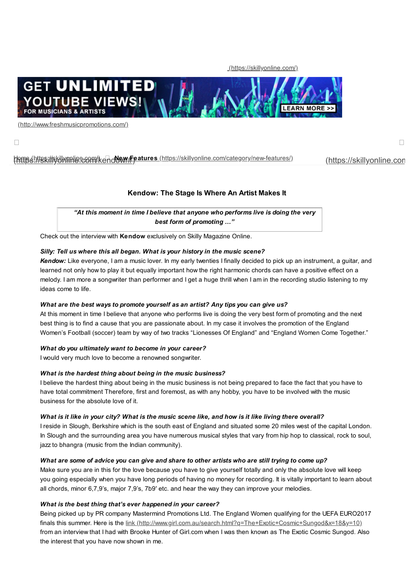[\(https://skillyonline.com/\)](https://skillyonline.com/)



[\(http://www.freshmusicpromotions.com/\)](http://www.freshmusicpromotions.com/)

 $\Box$  and the contract of the contract of the contract of the contract of the contract of the contract of the contract of the contract of the contract of the contract of the contract of the contract of the contract of the

# <u>(https://[ski](https://skillyonline.com/kendow/#)llyonline.com/kendew/Features (htt[ps:/](https://skillyonline.com/)/skillyonline.com/category/new-features/) [\(https://skillyonline.com](https://skillyonline.com/kendow/#)</u>

## **Kendow: The Stage Is Where An Artist Makes It**

*"At this moment in time I believe that anyone who performs live is doing the very best form of promoting …"*

Check out the interview with **Kendow** exclusively on Skilly Magazine Online.

#### *Silly: Tell us where this all began. What is your history in the music scene?*

*Kendow:* Like everyone, I am a music lover. In my early twenties I finally decided to pick up an instrument, a guitar, and learned not only how to play it but equally important how the right harmonic chords can have a positive effect on a melody. I am more a songwriter than performer and I get a huge thrill when I am in the recording studio listening to my ideas come to life.

### *What are the best ways to promote yourself as an artist? Any tips you can give us?*

At this moment in time I believe that anyone who performs live is doing the very best form of promoting and the next best thing is to find a cause that you are passionate about. In my case it involves the promotion of the England Women's Football (soccer) team by way of two tracks "Lionesses Of England" and "England Women Come Together."

#### *What do you ultimately want to become in your career?*

I would very much love to become a renowned songwriter.

#### *What is the hardest thing about being in the music business?*

I believe the hardest thing about being in the music business is not being prepared to face the fact that you have to have total commitment Therefore, first and foremost, as with any hobby, you have to be involved with the music business for the absolute love of it.

### What is it like in your city? What is the music scene like, and how is it like living there overall?

I reside in Slough, Berkshire which is the south east of England and situated some 20 miles west of the capital London. In Slough and the surrounding area you have numerous musical styles that vary from hip hop to classical, rock to soul, jazz to bhangra (music from the Indian community).

## What are some of advice you can give and share to other artists who are still trying to come up?

Make sure you are in this for the love because you have to give yourself totally and only the absolute love will keep you going especially when you have long periods of having no money for recording. It is vitally important to learn about all chords, minor 6,7,9's, major 7,9's, 7b9′ etc. and hear the way they can improve your melodies.

#### *What is the best thing that's ever happened in your career?*

Being picked up by PR company Mastermind Promotions Ltd. The England Women qualifying for the UEFA EURO2017 finals this summer. Here is the link [\(http://www.girl.com.au/search.html?q=The+Exotic+Cosmic+Sungod&x=18&y=10\)](http://www.girl.com.au/search.html?q=The+Exotic+Cosmic+Sungod&x=18&y=10) from an interview that I had with Brooke Hunter of Girl.com when I was then known as The Exotic Cosmic Sungod. Also the interest that you have now shown in me.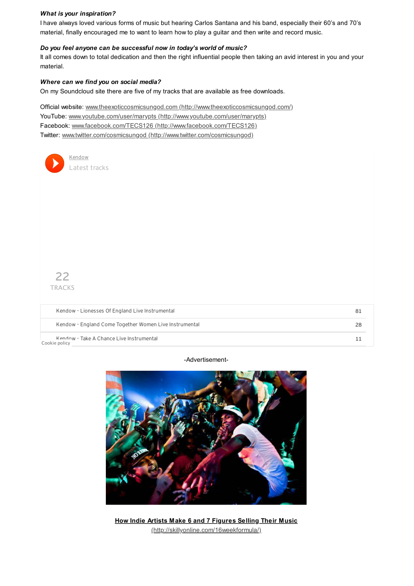#### *What is your inspiration?*

I have always loved various forms of music but hearing Carlos Santana and his band, especially their 60's and 70's material, finally encouraged me to want to learn how to play a guitar and then write and record music.

#### *Do you feel anyone can be successful now in today's world of music?*

It all comes down to total dedication and then the right influential people then taking an avid interest in you and your material.

#### *Where can we find you on social media?*

On my Soundcloud site there are five of my tracks that are available as free downloads.

Official website: www.theexoticcosmicsungod.com [\(http://www.theexoticcosmicsungod.com/\)](http://www.theexoticcosmicsungod.com/) YouTube: www.youtube.com/user/marypts [\(http://www.youtube.com/user/marypts\)](http://www.youtube.com/user/marypts) Facebook: www.facebook.com/TECS126 [\(http://www.facebook.com/TECS126\)](http://www.facebook.com/TECS126) Twitter: www.twitter.com/cosmicsungod [\(http://www.twitter.com/cosmicsungod\)](http://www.twitter.com/cosmicsungod)



Kendow - Take A Chance Live Instrumental 11 and 2008 -- The Second Level of Ann and 2008 -- 11 [Cookie](https://soundcloud.com/pages/cookies) policy

#### -Advertisement-



**How Indie Artists Make 6 and 7 Figures Selling Their Music** [\(http://skillyonline.com/16weekformula/\)](http://skillyonline.com/16weekformula/)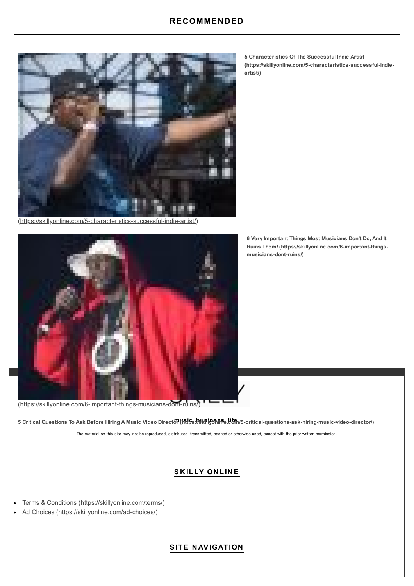

[\(https://skillyonline.com/5-characteristics-successful-indie-artist/\)](https://skillyonline.com/5-characteristics-successful-indie-artist/)



[\(https://skillyonline.com/6-important-things-musicians-dont-ruins/\)](https://skillyonline.com/6-important-things-musicians-dont-ruins/)

5 Critical Questions To Ask Before Hiring A Music Video Direct**oPધRiss 以\@\\\$\\**\$\$\J\$\$\J\$\$\J\$F~critical-questions-ask-hiring-music-video-director/)

The material on this site may not be reproduced, distributed, transmitted, cached or otherwise used, except with the prior written permission.

# **S K ILLY ON LIN E**

- Terms & Conditions [\(https://skillyonline.com/terms/\)](https://skillyonline.com/terms/)  $\bullet$
- Ad Choices [\(https://skillyonline.com/ad-choices/\)](https://skillyonline.com/ad-choices/)  $\bullet$

**5 Characteristics Of The Successful Indie Artist [\(https://skillyonline.com/5-characteristics-successful-indie](https://skillyonline.com/5-characteristics-successful-indie-artist/)artist/)**

**6 Very Important Things Most Musicians Don't Do, And It Ruins Them! [\(https://skillyonline.com/6-important-things](https://skillyonline.com/6-important-things-musicians-dont-ruins/)musicians-dont-ruins/)**

# **SITE N AVIGATION**